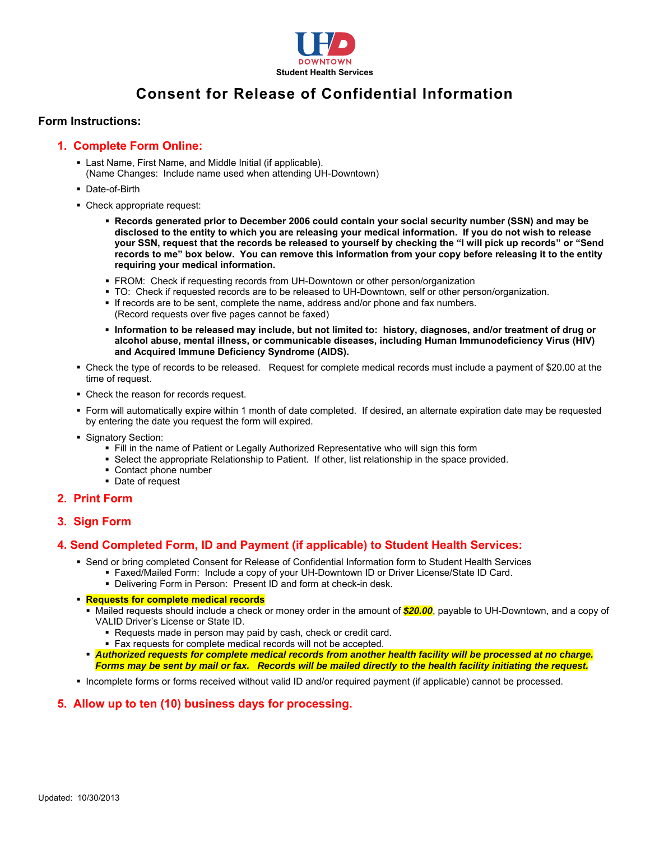

# **Consent for Release of Confidential Information**

#### **Form Instructions:**

# **1. Complete Form Online:**

- Last Name, First Name, and Middle Initial (if applicable).
	- (Name Changes: Include name used when attending UH-Downtown)
- Date-of-Birth
- Check appropriate request:
	- **Records generated prior to December 2006 could contain your social security number (SSN) and may be disclosed to the entity to which you are releasing your medical information. If you do not wish to release your SSN, request that the records be released to yourself by checking the "I will pick up records" or "Send records to me" box below. You can remove this information from your copy before releasing it to the entity requiring your medical information.**
	- FROM: Check if requesting records from UH-Downtown or other person/organization
	- TO: Check if requested records are to be released to UH-Downtown, self or other person/organization.
	- If records are to be sent, complete the name, address and/or phone and fax numbers. (Record requests over five pages cannot be faxed)
	- **Information to be released may include, but not limited to: history, diagnoses, and/or treatment of drug or and Acquired Immune Deficiency Syndrome (AIDS). alcohol abuse, mental illness, or communicable diseases, including Human Immunodeficiency Virus (HIV)**
- Check the type of records to be released. Request for complete medical records must include a payment of \$20.00 at the time of request.
- Check the reason for records request.
- Form will automatically expire within 1 month of date completed. If desired, an alternate expiration date may be requested by entering the date you request the form will expired.
- **Signatory Section:** 
	- Fill in the name of Patient or Legally Authorized Representative who will sign this form
	- Select the appropriate Relationship to Patient. If other, list relationship in the space provided.
	- Contact phone number
	- Date of request

# **2. Print Form**

**3. Sign Form** 

# **4. Send Completed Form, ID and Payment (if applicable) to Student Health Services:**

- Send or bring completed Consent for Release of Confidential Information form to Student Health Services
	- Faxed/Mailed Form: Include a copy of your UH-Downtown ID or Driver License/State ID Card.
		- Delivering Form in Person: Present ID and form at check-in desk.

#### **Requests for complete medical records**

- Mailed requests should include a check or money order in the amount of *\$20.00*, payable to UH-Downtown, and a copy of VALID Driver's License or State ID.
	- Requests made in person may paid by cash, check or credit card.
	- Fax requests for complete medical records will not be accepted.
- *Forms may be sent by mail or fax. Records will be mailed directly to the health facility initiating the request. Authorized requests for complete medical records from another health facility will be processed at no charge.*
- Incomplete forms or forms received without valid ID and/or required payment (if applicable) cannot be processed.

# **5. Allow up to ten (10) business days for processing.**